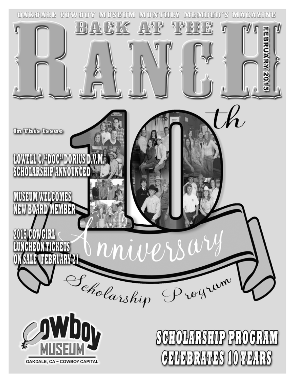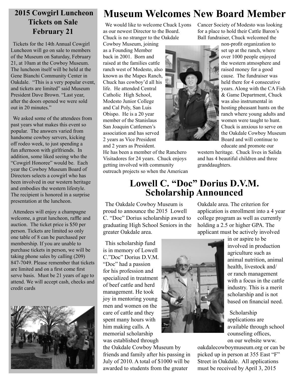# **Tickets on Sale February 21**

Tickets for the 14th Annual Cowgirl Luncheon will go on sale to members of the Museum on Saturday, February 21, at 10am at the Cowboy Museum. The luncheon itself will be held at the Gene Bianchi Community Center in Oakdale. "This is a very popular event, and tickets are limited" said Museum President Dave Brown. "Last year, after the doors opened we were sold out in 20 minutes."

We asked some of the attendees from past years what makes this event so popular. The answers varied from handsome cowboy servers, kicking off rodeo week, to just spending a fun afternoon with girlfriends. In addition, some liked seeing who the "Cowgirl Honoree" would be. Each year the Cowboy Museum Board of Directors selects a cowgirl who has been involved in our western heritage and embodies the western lifestyle. The recipient is honored in a surprise presentation at the luncheon.

Attendees will enjoy a champagne welcome, a great luncheon, raffle and auction. The ticket price is \$50 per person. Tickets are limited so only one table of 8 can be purchased per membership. If you are unable to purchase tickets in person, we will be taking phone sales by calling (209) 847-7049. Please remember that tickets are limited and on a first come first serve basis. Must be 21 years of age to attend. We will accept cash, checks and credit cards



## **2015 Cowgirl Luncheon Museum Welcomes New Board Member**

We would like to welcome Chuck Lyons as our newest Director to the Board. Chuck is no stranger to the Oakdale

Cowboy Museum, joining as a Founding Member back in 2001. Born and raised at the families cattle ranch west of Modesto, also known as the Mapes Ranch, Chuck has cowboy'd all his life. He attended Central Catholic High School, Modesto Junior College and Cal Poly, San Luis Obispo. He is a 20 year member of the Stanislaus San Joaquin Cattlemen's association and has served 2 years as Vice President and 2 years as President.

He has been a member of the Ranchero Visitadores for 24 years. Chuck enjoys getting involved with community outreach projects so when the American



Cancer Society of Modesto was looking for a place to hold their Cattle Baron's Ball fundraiser, Chuck welcomed the

> non-profit organization to set up at the ranch, where over 1000 people enjoyed the western atmosphere and raised money for a good cause. The fundraiser was held there for 4 consecutive years. Along with the CA Fish & Game Department, Chuck was also instrumental in hosting pheasant hunts on the ranch where young adults and women were taught to hunt. Chuck is anxious to serve on the Oakdale Cowboy Museum Board and will continue to educate and promote our

western heritage. Chuck lives in Salida and has 4 beautiful children and three granddaughters.

## **Lowell C. "Doc" Dorius D.V.M. Scholarship Announced**

The Oakdale Cowboy Museum is proud to announce the 2015 Lowell C. "Doc" Dorius scholarship award to graduating High School Seniors in the greater Oakdale area.

This scholarship fund is in memory of Lowell C."Doc" Dorius D.V.M. "Doc" had a passion for his profession and specialized in treatment of beef cattle and herd management. He took joy in mentoring young men and women on the care of cattle and they spent many hours with him making calls. A memorial scholarship was established through

the Oakdale Cowboy Museum by friends and family after his passing in July of 2010. A total of \$1000 will be awarded to students from the greater

Oakdale area. The criterion for application is enrollment into a 4 year college program as well as currently holding a 2.5 or higher GPA. The

applicant must be actively involved

in or aspire to be involved in production agriculture such as animal nutrition, animal health, livestock and/ or ranch management with a focus in the cattle industry. This is a merit scholarship and is not based on financial need.

Scholarship applications are available through school counseling offices, on our website www.

oakdalecowboymuseum.org or can be picked up in person at 355 East "F" Street in Oakdale. All applications must be received by April 3, 2015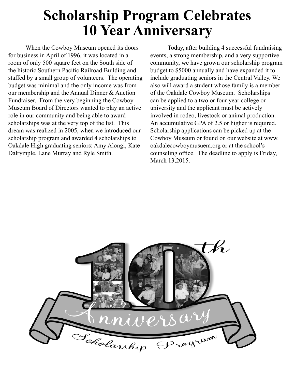# **Scholarship Program Celebrates 10 Year Anniversary**

When the Cowboy Museum opened its doors for business in April of 1996, it was located in a room of only 500 square feet on the South side of the historic Southern Pacific Railroad Building and staffed by a small group of volunteers. The operating budget was minimal and the only income was from our membership and the Annual Dinner & Auction Fundraiser. From the very beginning the Cowboy Museum Board of Directors wanted to play an active role in our community and being able to award scholarships was at the very top of the list. This dream was realized in 2005, when we introduced our scholarship program and awarded 4 scholarships to Oakdale High graduating seniors: Amy Alongi, Kate Dalrymple, Lane Murray and Ryle Smith.

Today, after building 4 successful fundraising events, a strong membership, and a very supportive community, we have grown our scholarship program budget to \$5000 annually and have expanded it to include graduating seniors in the Central Valley. We also will award a student whose family is a member of the Oakdale Cowboy Museum. Scholarships can be applied to a two or four year college or university and the applicant must be actively involved in rodeo, livestock or animal production. An accumulative GPA of 2.5 or higher is required. Scholarship applications can be picked up at the Cowboy Museum or found on our website at www. oakdalecowboymusuem.org or at the school's counseling office. The deadline to apply is Friday, March 13,2015.